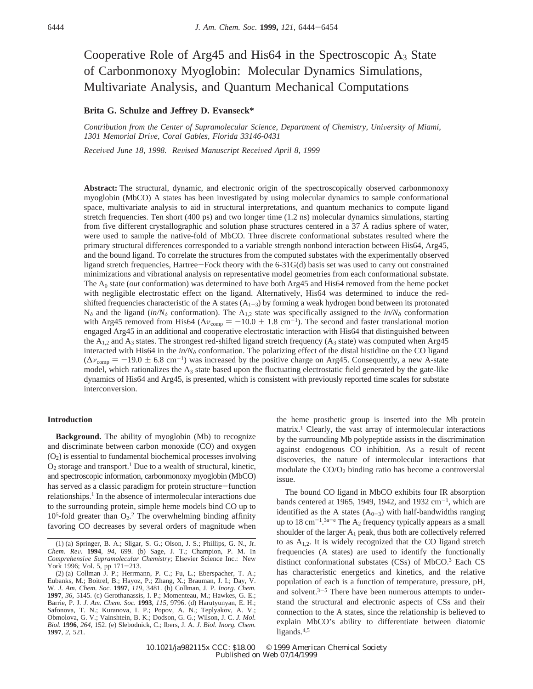# Cooperative Role of Arg45 and His64 in the Spectroscopic  $A_3$  State of Carbonmonoxy Myoglobin: Molecular Dynamics Simulations, Multivariate Analysis, and Quantum Mechanical Computations

# **Brita G. Schulze and Jeffrey D. Evanseck\***

*Contribution from the Center of Supramolecular Science, Department of Chemistry, University of Miami, 1301 Memorial Dri*V*e, Coral Gables, Florida 33146-0431*

*Recei*V*ed June 18, 1998. Re*V*ised Manuscript Recei*V*ed April 8, 1999*

**Abstract:** The structural, dynamic, and electronic origin of the spectroscopically observed carbonmonoxy myoglobin (MbCO) A states has been investigated by using molecular dynamics to sample conformational space, multivariate analysis to aid in structural interpretations, and quantum mechanics to compute ligand stretch frequencies. Ten short (400 ps) and two longer time (1.2 ns) molecular dynamics simulations, starting from five different crystallographic and solution phase structures centered in a 37 Å radius sphere of water, were used to sample the native-fold of MbCO. Three discrete conformational substates resulted where the primary structural differences corresponded to a variable strength nonbond interaction between His64, Arg45, and the bound ligand. To correlate the structures from the computed substates with the experimentally observed ligand stretch frequencies, Hartree-Fock theory with the 6-31G(d) basis set was used to carry out constrained minimizations and vibrational analysis on representative model geometries from each conformational substate. The A0 state (*out* conformation) was determined to have both Arg45 and His64 removed from the heme pocket with negligible electrostatic effect on the ligand. Alternatively, His64 was determined to induce the redshifted frequencies characteristic of the A states  $(A_{1-3})$  by forming a weak hydrogen bond between its protonated  $N<sub>δ</sub>$  and the ligand (*in/N*<sub>δ</sub> conformation). The A<sub>1,2</sub> state was specifically assigned to the *in/N*<sub>δ</sub> conformation with Arg45 removed from His64 ( $\Delta v_{\text{comp}} = -10.0 \pm 1.8 \text{ cm}^{-1}$ ). The second and faster translational motion engaged Arg45 in an additional and cooperative electrostatic interaction with His64 that distinguished between the  $A_{1,2}$  and  $A_3$  states. The strongest red-shifted ligand stretch frequency ( $A_3$  state) was computed when Arg45 interacted with His64 in the  $in/N<sub>o</sub>$  conformation. The polarizing effect of the distal histidine on the CO ligand  $(\Delta v_{\text{comp}} = -19.0 \pm 6.8 \text{ cm}^{-1})$  was increased by the positive charge on Arg45. Consequently, a new A-state model, which rationalizes the  $A_3$  state based upon the fluctuating electrostatic field generated by the gate-like dynamics of His64 and Arg45, is presented, which is consistent with previously reported time scales for substate interconversion.

#### **Introduction**

**Background.** The ability of myoglobin (Mb) to recognize and discriminate between carbon monoxide (CO) and oxygen  $(O<sub>2</sub>)$  is essential to fundamental biochemical processes involving  $O_2$  storage and transport.<sup>1</sup> Due to a wealth of structural, kinetic, and spectroscopic information, carbonmonoxy myoglobin (MbCO) has served as a classic paradigm for protein structure-function relationships.<sup>1</sup> In the absence of intermolecular interactions due to the surrounding protein, simple heme models bind CO up to  $10<sup>5</sup>$ -fold greater than  $O<sub>2</sub>$ .<sup>2</sup> The overwhelming binding affinity favoring CO decreases by several orders of magnitude when the heme prosthetic group is inserted into the Mb protein matrix.1 Clearly, the vast array of intermolecular interactions by the surrounding Mb polypeptide assists in the discrimination against endogenous CO inhibition. As a result of recent discoveries, the nature of intermolecular interactions that modulate the  $CO/O<sub>2</sub>$  binding ratio has become a controversial issue.

The bound CO ligand in MbCO exhibits four IR absorption bands centered at 1965, 1949, 1942, and 1932 cm<sup>-1</sup>, which are identified as the A states  $(A_{0-3})$  with half-bandwidths ranging up to  $18 \text{ cm}^{-1}$ .  $3a-e$  The A<sub>2</sub> frequency typically appears as a small shoulder of the larger  $A_1$  peak, thus both are collectively referred to as  $A_{1,2}$ . It is widely recognized that the CO ligand stretch frequencies (A states) are used to identify the functionally distinct conformational substates  $(CS<sub>s</sub>)$  of MbCO.<sup>3</sup> Each CS has characteristic energetics and kinetics, and the relative population of each is a function of temperature, pressure, pH, and solvent. $3-5$  There have been numerous attempts to understand the structural and electronic aspects of CSs and their connection to the A states, since the relationship is believed to explain MbCO's ability to differentiate between diatomic ligands.<sup>4,5</sup>

<sup>(1) (</sup>a) Springer, B. A.; Sligar, S. G.; Olson, J. S.; Phillips, G. N., Jr.<br>Chem. Rev. 1994, 94, 699. (b) Sage, J. T.; Champion, P. M. In *Chem. Re*V. **<sup>1994</sup>**, *<sup>94</sup>*, 699. (b) Sage, J. T.; Champion, P. M. In *Comprehensive Supramolecular Chemistry*; Elsevier Science Inc.: New<br>York 1996: Vol. 5 np 171–213 York 1996; Vol. 5, pp 171-213.

<sup>(2) (</sup>a) Collman J. P.; Herrmann, P. C.; Fu, L.; Eberspacher, T. A.; Eubanks, M.; Boitrel, B.; Hayoz, P.; Zhang, X.; Brauman, J. I.; Day, V. W. *J. Am. Chem. Soc.* **1997**, *119*, 3481. (b) Collman, J. P. *Inorg. Chem.* **1997**, *36*, 5145. (c) Gerothanassis, I. P.; Momenteau, M.; Hawkes, G. E.; Barrie, P. J. *J. Am. Chem. Soc.* **1993**, *115*, 9796. (d) Harutyunyan, E. H.; Safonova, T. N.; Kuranova, I. P.; Popov, A. N.; Teplyakov, A. V.; Obmolova, G. V.; Vainshtein, B. K.; Dodson, G. G.; Wilson, J. C. *J. Mol. Biol.* **1996**, *264*, 152. (e) Slebodnick, C.; Ibers, J. A. *J. Biol. Inorg. Chem.* **1997**, *2*, 521.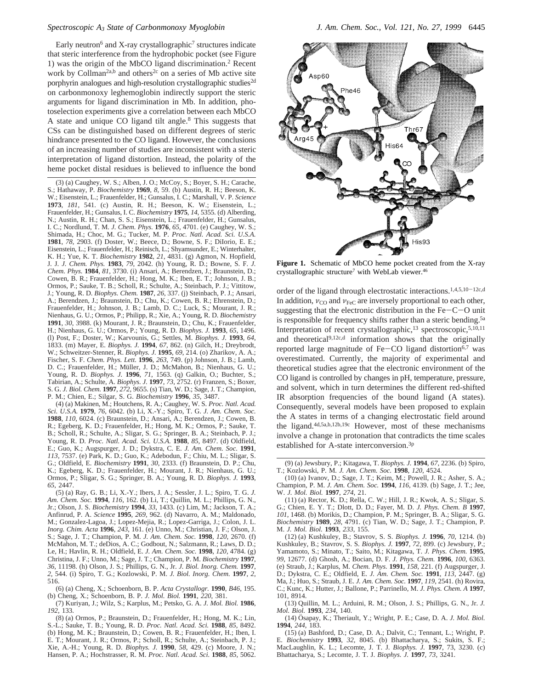#### *Spectroscopic A3 State of Carbonmonoxy Myoglobin J. Am. Chem. Soc., Vol. 121, No. 27, 1999* 6445

Early neutron<sup>6</sup> and X-ray crystallographic<sup>7</sup> structures indicate that steric interference from the hydrophobic pocket (see Figure 1) was the origin of the MbCO ligand discrimination.2 Recent work by Collman<sup>2a,b</sup> and others<sup>2c</sup> on a series of Mb active site porphyrin analogues and high-resolution crystallographic studies<sup>2d</sup> on carbonmonoxy leghemoglobin indirectly support the steric arguments for ligand discrimination in Mb. In addition, photoselection experiments give a correlation between each MbCO A state and unique CO ligand tilt angle.<sup>8</sup> This suggests that CSs can be distinguished based on different degrees of steric hindrance presented to the CO ligand. However, the conclusions of an increasing number of studies are inconsistent with a steric interpretation of ligand distortion. Instead, the polarity of the heme pocket distal residues is believed to influence the bond

(3) (a) Caughey, W. S.; Alben, J. O.; McCoy, S.; Boyer, S. H.; Carache, S.; Hathaway, P. *Biochemistry* **1969**, *8*, 59. (b) Austin, R. H.; Beeson, K. W.; Eisenstein, L.; Frauenfelder, H.; Gunsalus, I. C.; Marshall, V. P. *Science* **1973**, *181*, 541. (c) Austin, R. H.; Beeson, K. W.; Eisenstein, L.; Frauenfelder, H.; Gunsalus, I. C. *Biochemistry* **1975**, *14*, 5355. (d) Alberding, N.; Austin, R. H.; Chan, S. S.; Eisenstein, L.; Frauenfelder, H.; Gunsalus, I. C.; Nordlund, T. M. *J. Chem. Phys.* **1976**, *65*, 4701. (e) Caughey, W. S.; Shimada, H.; Choc, M. G.; Tucker, M. P. *Proc. Natl. Acad. Sci. U.S.A.* **1981**, *78*, 2903. (f) Doster, W.; Beece, D.; Bowne, S. F.; DiIorio, E. E.; Eisenstein, L.; Frauenfelder, H.; Reinisch, L.; Shyamsunder, E.; Winterhalter, K. H.; Yue, K. T. *Biochemistry* **1982**, *21*, 4831. (g) Agmon, N. Hopfield, J. J. *J. Chem. Phys.* **1983**, *79*, 2042. (h) Young, R. D.; Bowne, S. F. *J. Chem. Phys.* **1984**, *81*, 3730. (i) Ansari, A.; Berendzen, J.; Braunstein, D.; Cowen, B. R.; Frauenfelder, H.; Hong, M. K.; Iben, E. T.; Johnson, J. B.; Ormos, P.; Sauke, T. B.; Scholl, R.; Schulte, A.; Steinbach, P. J.; Vittitow, J.; Young, R. D. *Biophys. Chem.* **1987**, *26*, 337. (j) Steinbach, P. J.; Ansari, A.; Berendzen, J.; Braunstein, D.; Chu, K.; Cowen, B. R.; Ehrenstein, D.; Frauenfelder, H.; Johnson, J. B.; Lamb, D. C.; Luck, S.; Mourant, J. R.; Nienhaus, G. U.; Ormos, P.; Philipp, R.; Xie, A.; Young, R. D. *Biochemistry* **1991**, *30*, 3988. (k) Mourant, J. R.; Braunstein, D.; Chu, K.; Frauenfelder, H.; Nienhaus, G. U.; Ormos, P.; Young, R. D. *Biophys. J.* **1993**, *65*, 1496. (l) Post, F.; Doster, W.; Karvounis, G.; Settles, M. *Biophys. J.* **1993**, *64*, 1833. (m) Mayer, E. *Biophys. J.* **1994**, *67*, 862. (n) Gilch, H.; Dreybrodt, W.; Schweitzer-Stenner, R. *Biophys. J.* **1995**, *69*, 214. (o) Zharikov, A. A.; Fischer, S. F. *Chem. Phys. Lett.* **1996**, *263*, 749. (p) Johnson, J. B.; Lamb, D. C.; Frauenfelder, H.; Müller, J. D.; McMahon, B.; Nienhaus, G. U.; Young, R. D. *Biophys. J.* **1996**, *71*, 1563. (q) Galkin, O.; Buchter, S.; Tabirian, A.; Schulte, A. *Biophys. J.* **1997**, *73*, 2752. (r) Franzen, S.; Boxer, S. G. *J. Biol. Chem.* **1997**, *272*, 9655. (s) Tian, W. D.; Sage, J. T.; Champion, P. M.; Chien, E.; Silgar, S. G. *Biochemistry* **1996**, *35*, 3487.

(4) (a) Makinen, M.; Houtchens, R. A.; Caughey, W. S. *Proc. Natl. Acad. Sci. U.S.A.* **1979**, *76*, 6042. (b) Li, X.-Y.; Spiro, T. G. *J. Am. Chem. Soc.* **1988**, *110*, 6024. (c) Braunstein, D.; Ansari, A.; Berendzen, J.; Cowen, B. R.; Egeberg, K. D.; Frauenfelder, H.; Hong, M. K.; Ormos, P.; Sauke, T. B.; Scholl, R.; Schulte, A.; Sligar, S. G.; Springer, B. A.; Steinbach, P. J.; Young, R. D. *Proc. Natl. Acad. Sci. U.S.A.* **1988**, *85*, 8497. (d) Oldfield, E.; Guo, K.; Augspurger, J. D.; Dykstra, C. E. *J. Am. Chem. Soc.* **1991**, *113*, 7537. (e) Park, K. D.; Guo, K.; Adebodun, F.; Chiu, M. L.; Sligar, S. G.; Oldfield, E. *Biochemistry* **1991**, *30*, 2333. (f) Braunstein, D. P.; Chu, K.; Egeberg, K. D.; Frauenfelder, H.; Mourant, J. R.; Nienhaus, G. U.; Ormos, P.; Sligar, S. G.; Springer, B. A.; Young, R. D. *Biophys. J.* **1993**, *65*, 2447.

(5) (a) Ray, G. B.; Li, X.-Y.; Ibers, J. A.; Sessler, J. L.; Spiro, T. G. *J. Am. Chem. Soc.* **1994**, *116*, 162. (b) Li, T.; Quillin, M. L.; Phillips, G. N., Jr.; Olson, J. S. *Biochemistry* **1994**, *33*, 1433. (c) Lim, M.; Jackson, T. A.; Anfinrud, P. A. *Science* **1995**, *269*, 962. (d) Navarro, A. M.; Maldonado, M.; Gonzalez-Lagoa, J.; Lopez-Mejia, R.; Lopez-Garriga, J.; Colon, J. L. *Inorg. Chim. Acta* **1996**, *243*, 161. (e) Unno, M.; Christian, J. F.; Olson, J. S.; Sage, J. T.; Champion, P. M. *J. Am. Chem. Soc.* **1998**, *120*, 2670. (f) McMahon, M. T.; deDios, A. C.; Godbout, N.; Salzmann, R.; Laws, D. D.; Le, H.; Havlin, R. H.; Oldfield, E. *J. Am. Chem. Soc.* **1998**, *120*, 4784. (g) Christina, J. F.; Unno, M.; Sage, J. T.; Champion, P. M. *Biochemistry* **1997**, *36*, 11198. (h) Olson, J. S.; Phillips, G. N., Jr. *J. Biol. Inorg. Chem.* **1997**, *2*, 544. (i) Spiro, T. G.; Kozlowski, P. M. *J. Biol. Inorg. Chem.* **1997**, *2*, 516.

(6) (a) Cheng, X.; Schoenborn, B. P. *Acta Crystallogr.* **1990**, *B46*, 195. (b) Cheng, X.; Schoenborn, B. P. *J. Mol. Biol.* **1991**, *220*, 381.

(7) Kuriyan, J.; Wilz, S.; Karplus, M.; Petsko, G. A. *J. Mol. Biol.* **1986**, *192*, 133.

(8) (a) Ormos, P.; Braunstein, D.; Frauenfelder, H.; Hong, M. K.; Lin, S.-L.; Sauke, T. B.; Young, R. D. *Proc. Natl. Acad. Sci.* **1988**, *85*, 8492. (b) Hong, M. K.; Braunstein, D.; Cowen, B. R.; Frauenfelder, H.; Iben, I. E. T.; Mourant, J. R.; Ormos, P.; Scholl, R.; Schulte, A.; Steinbach, P. J.; Xie, A.-H.; Young, R. D. *Biophys. J.* **1990**, *58*, 429. (c) Moore, J. N.; Hansen, P. A.; Hochstrasser, R. M. *Proc. Natl. Acad. Sci.* **1988**, *85*, 5062.



**Figure 1.** Schematic of MbCO heme pocket created from the X-ray crystallographic structure<sup>7</sup> with WebLab viewer.<sup>46</sup>

order of the ligand through electrostatic interactions.1,4,5,10-12c,d In addition,  $v_{\text{CO}}$  and  $v_{\text{FeC}}$  are inversely proportional to each other, suggesting that the electronic distribution in the  $Fe-C-O$  unit is responsible for frequency shifts rather than a steric bending.<sup>5a</sup> Interpretation of recent crystallographic,<sup>13</sup> spectroscopic,<sup>5,10,11</sup> and theoretical<sup>9,12c,d</sup> information shows that the originally reported large magnitude of  $Fe$ -CO ligand distortion<sup>6,7</sup> was overestimated. Currently, the majority of experimental and theoretical studies agree that the electronic environment of the CO ligand is controlled by changes in pH, temperature, pressure, and solvent, which in turn determines the different red-shifted IR absorption frequencies of the bound ligand (A states). Consequently, several models have been proposed to explain the A states in terms of a changing electrostatic field around the ligand.4d,5a,b,12b,19c However, most of these mechanisms involve a change in protonation that contradicts the time scales established for A-state interconversion.<sup>3p</sup>

(12) (a) Kushkuley, B.; Stavrov, S. S. *Biophys. J.* **1996**, *70*, 1214. (b) Kushkuley, B.; Stavrov, S. S. *Biophys. J.* **1997**, *72*, 899. (c) Jewsbury, P.; Yamamoto, S.; Minato, T.; Saito, M.; Kitagawa, T. *J. Phys. Chem.* **1995**, *99*, 12677. (d) Ghosh, A.; Bocian, D. F. *J. Phys. Chem.* **1996**, *100*, 6363. (e) Straub, J.; Karplus, M. *Chem. Phys.* **1991**, *158*, 221. (f) Augspurger, J. D.; Dykstra, C. E.; Oldfield, E. *J. Am. Chem. Soc.* **1991**, *113*, 2447. (g) Ma, J.; Huo, S.; Straub, J. E. *J. Am. Chem. Soc.* **1997**, *119*, 2541. (h) Rovira, C.; Kunc, K.; Hutter, J.; Ballone, P.; Parrinello, M. *J. Phys. Chem. A* **1997**, 101, 8914.

(13) Quillin, M. L.; Arduini, R. M.; Olson, J. S.; Phillips, G. N., Jr. *J. Mol. Biol.* **1993**, *234*, 140.

(14) O¨sapay, K.; Theriault, Y.; Wright, P. E.; Case, D. A. *J. Mol. Biol.* **1994**, *244*, 183.

(15) (a) Bashford, D.; Case, D. A.; Dalvit, C.; Tennant, L.; Wright, P. E. *Biochemistry* **1993**, *32*, 8045. (b) Bhattacharya, S.; Sukits, S. F.; MacLaughlin, K. L.; Lecomte, J. T. J. *Biophys. J.* **1997**, 73, 3230. (c) Bhattacharya, S.; Lecomte, J. T. J. *Biophys. J.* **1997**, *73*, 3241.

<sup>(9) (</sup>a) Jewsbury, P.; Kitagawa, T. *Biophys. J.* **1994**, *67*, 2236. (b) Spiro, T.; Kozlowski, P. M. *J. Am. Chem. Soc.* **1998**, *120*, 4524.

<sup>(10) (</sup>a) Ivanov, D.; Sage, J. T.; Keim, M.; Powell, J. R.; Asher, S. A.; Champion, P. M. *J. Am. Chem. Soc.* **1994**, *116*, 4139. (b) Sage, J. T.; Jee, W. *J. Mol. Biol.* **1997**, *274*, 21.

<sup>(11) (</sup>a) Rector, K. D.; Rella, C. W.; Hill, J. R.; Kwok, A. S.; Sligar, S. G.; Chien, E. Y. T.; Dlott, D. D.; Fayer, M. D. *J. Phys. Chem. B* **1997**, *101*, 1468. (b) Morikis, D.; Champion, P. M.; Springer, B. A.; Sligar, S. G. *Biochemistry* **1989**, *28*, 4791. (c) Tian, W. D.; Sage, J. T.; Champion, P. M. *J. Mol. Biol.* **1993**, *233*, 155.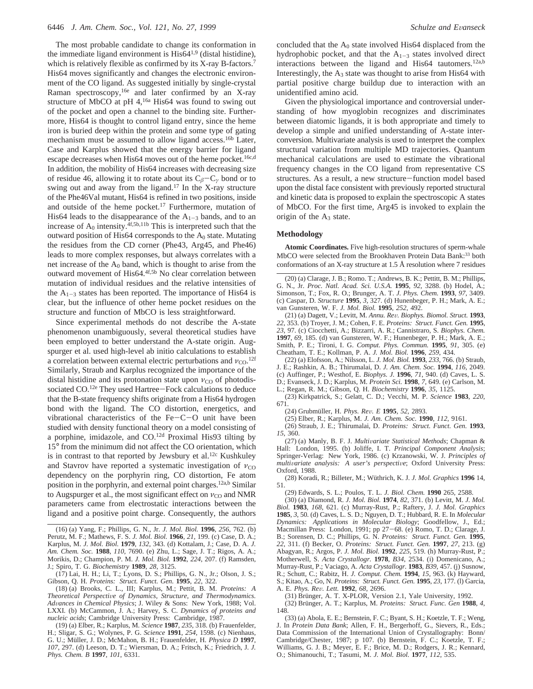The most probable candidate to change its conformation in the immediate ligand environment is  $His64^{1,9}$  (distal histidine), which is relatively flexible as confirmed by its X-ray B-factors.<sup>7</sup> His64 moves significantly and changes the electronic environment of the CO ligand. As suggested initially by single-crystal Raman spectroscopy,<sup>16e</sup> and later confirmed by an X-ray structure of MbCO at pH 4,<sup>16a</sup> His64 was found to swing out of the pocket and open a channel to the binding site. Furthermore, His64 is thought to control ligand entry, since the heme iron is buried deep within the protein and some type of gating mechanism must be assumed to allow ligand access.<sup>16b</sup> Later, Case and Karplus showed that the energy barrier for ligand escape decreases when His64 moves out of the heme pocket.<sup>16c,d</sup> In addition, the mobility of His64 increases with decreasing size of residue 46, allowing it to rotate about its C*<sup>â</sup>*-C*<sup>γ</sup>* bond or to swing out and away from the ligand.17 In the X-ray structure of the Phe46Val mutant, His64 is refined in two positions, inside and outside of the heme pocket.<sup>17</sup> Furthermore, mutation of His64 leads to the disappearance of the  $A_{1-3}$  bands, and to an increase of  $A_0$  intensity.  $4f,5b,11b$  This is interpreted such that the outward position of His64 corresponds to the  $A_0$  state. Mutating the residues from the CD corner (Phe43, Arg45, and Phe46) leads to more complex responses, but always correlates with a net increase of the  $A_0$  band, which is thought to arise from the outward movement of His64.<sup>4f,5b</sup> No clear correlation between mutation of individual residues and the relative intensities of the  $A_{1-3}$  states has been reported. The importance of His64 is clear, but the influence of other heme pocket residues on the structure and function of MbCO is less straightforward.

Since experimental methods do not describe the A-state phenomenon unambiguously, several theoretical studies have been employed to better understand the A-state origin. Augspurger et al. used high-level ab initio calculations to establish a correlation between external electric perturbations and  $v_{\text{CO}}$ .<sup>12f</sup> Similarly, Straub and Karplus recognized the importance of the distal histidine and its protonation state upon  $v_{\text{CO}}$  of photodissociated CO.<sup>12e</sup> They used Hartree-Fock calculations to deduce that the B-state frequency shifts originate from a His64 hydrogen bond with the ligand. The CO distortion, energetics, and vibrational characteristics of the  $Fe-C-O$  unit have been studied with density functional theory on a model consisting of a porphine, imidazole, and CO.12d Proximal His93 tilting by 15° from the minimum did not affect the CO orientation, which is in contrast to that reported by Jewsbury et al.<sup>12c</sup> Kushkuley and Stavrov have reported a systematic investigation of  $v_{\text{CO}}$ dependency on the porphyrin ring, CO distortion, Fe atom position in the porphyrin, and external point charges.<sup>12a,b</sup> Similar to Augspurger et al., the most significant effect on *ν*<sub>CO</sub> and NMR parameters came from electrostatic interactions between the ligand and a positive point charge. Consequently, the authors

(17) Lai, H. H.; Li, T.; Lyons, D. S.; Phillips, G. N., Jr.; Olson, J. S.; Gibson, Q. H. *Proteins: Struct. Funct. Gen.* **1995**, *22*, 322.

(18) (a) Brooks, C. L., III; Karplus, M.; Pettit, B. M. *Proteins: A Theoretical Perspecti*V*e of Dynamics, Structure, and Thermodynamics. Ad*V*ances in Chemical Physics*; J. Wiley & Sons: New York, 1988; Vol. LXXI*.* (b) McCammon, J. A.; Harvey, S. C. *Dynamics of proteins and nucleic acids*; Cambridge University Press: Cambridge, 1987.

(19) (a) Elber, R.; Karplus, M. *Science* **1987**, *235*, 318. (b) Frauenfelder, H.; Sligar, S. G.; Wolynes, P. G. *Science* **1991**, *254*, 1598. (c) Nienhaus, G. U.; Müller, J. D.; McMahon, B. H.; Frauenfelder, H. *Physica D* 1997, *107*, 297. (d) Leeson, D. T.; Wiersman, D. A.; Fritsch, K.; Friedrich, J. *J. Phys. Chem. B* **1997**, *101*, 6331.

concluded that the  $A_0$  state involved His64 displaced from the hydrophobic pocket, and that the  $A_{1-3}$  states involved direct interactions between the ligand and His64 tautomers.<sup>12a,b</sup> Interestingly, the  $A_3$  state was thought to arise from His64 with partial positive charge buildup due to interaction with an unidentified amino acid.

Given the physiological importance and controversial understanding of how myoglobin recognizes and discriminates between diatomic ligands, it is both appropriate and timely to develop a simple and unified understanding of A-state interconversion. Multivariate analysis is used to interpret the complex structural variation from multiple MD trajectories. Quantum mechanical calculations are used to estimate the vibrational frequency changes in the CO ligand from representative CS structures. As a result, a new structure-function model based upon the distal face consistent with previously reported structural and kinetic data is proposed to explain the spectroscopic A states of MbCO. For the first time, Arg45 is invoked to explain the origin of the  $A_3$  state.

#### **Methodology**

**Atomic Coordinates.** Five high-resolution structures of sperm-whale MbCO were selected from the Brookhaven Protein Data Bank:<sup>33</sup> both conformations of an X-ray structure at 1.5 Å resolution where 7 residues

(21) (a) Dagett, V.; Levitt, M. *Annu. Re*V*. Biophys. Biomol. Struct.* **<sup>1993</sup>**, *22*, 353. (b) Troyer, J. M.; Cohen, F. E. *Proteins: Struct. Funct. Gen.* **1995**, *23*, 97. (c) Ciocchetti, A.; Bizzarri, A. R.; Cannistraro, S. *Biophys. Chem.* **1997**, *69*, 185. (d) van Gunsteren, W. F.; Hunenbeger, P. H.; Mark, A. E.; Smith, P. E.; Tironi, I. G. *Comput. Phys. Commun.* **1995**, *91*, 305. (e) Cheatham, T. E.; Kollman, P. A. *J. Mol. Biol.* **1996**, *259*, 434.

(22) (a) Elofsson, A.; Nilsson, L. *J. Mol. Biol.* **1993**, *233*, 766. (b) Straub, J. E.; Rashkin, A. B.; Thirumalai, D. *J. Am. Chem. Soc.* **1994**, *116*, 2049. (c) Auffinger, P.; Westhof, E. *Biophys. J.* **1996**, *71*, 940. (d) Caves, L. S. D.; Evanseck, J. D.; Karplus, M. *Protein Sci.* **1998**, *7*, 649. (e) Carlson, M. L.; Regan, R. M.; Gibson, Q. H. *Biochemistry* **1996**, *35*, 1125.

(23) Kirkpatrick, S.; Gelatt, C. D.; Vecchi, M. P. *Science* **1983**, *220*,

(24) Grubmu¨ller, H. *Phys. Re*V*. E* **<sup>1995</sup>**, *<sup>52</sup>*, 2893. (25) Elber, R.; Karplus, M. *J. Am. Chem. Soc.* **1990**, *112*, 9161.

(26) Straub, J. E.; Thirumalai, D. *Proteins: Struct. Funct. Gen.* **1993**, *15*, 360.

(27) (a) Manly, B. F. J. *Multi*V*ariate Statistical Methods*; Chapman & Hall: London, 1995. (b) Joliffe, I. T. *Principal Component Analysis*; Springer-Verlag: New York, 1986. (c) Krzanowski, W. J. *Principles of multivariate analysis: A user's perspective; Oxford University Press:* Oxford, 1988.

(28) Koradi, R.; Billeter, M.; Wu¨thrich, K. J. *J. Mol. Graphics* **1996** 14, 51.

(29) Edwards, S. L.; Poulos, T. L. *J. Biol. Chem.* **1990** 265, 2588.

(30) (a) Diamond, R. *J. Mol. Biol.* **1974**, *82*, 371. (b) Levitt, M. *J. Mol. Biol.* **1983**, *168*, 621. (c) Murray-Rust, P.; Raftery, J. *J. Mol. Graphics* **1985**, *3*, 50. (d) Caves, L. S. D.; Nguyen, D. T.; Hubbard, R. E. In *Molecular Dynamics: Applications in Molecular Biology*; Goodfellow, J., Ed.; Macmillan Press: London, 1991; pp 27-68. (e) Romo, T. D.; Clarage, J. B.; Sorensen, D. C.; Phillips, G. N. *Proteins: Struct. Funct. Gen.* **1995**, *22*, 311. (f) Becker, O. *Proteins: Struct. Funct. Gen.* **1997**, *27*, 213. (g) Abagyan, R.; Argos, P. *J. Mol. Biol.* **1992**, *225*, 519. (h) Murray-Rust, P.; Motherwell, S. *Acta Crystallogr.* **1978**, *B34*, 2534. (i) Domenicano, A.; Murray-Rust, P.; Vaciago, A. *Acta Crystallogr.* **1983**, *B39*, 457. (j) Susnow, R.; Schutt, C.; Rabitz, H. *J. Comput. Chem.* **1994**, *15*, 963. (k) Hayward, S.; Kitao, A.; Go, N. *Proteins: Struct. Funct. Gen.* **1995**, *23*, 177. (l) Garcia, A. E. *Phys. Re*V*. Lett.* **<sup>1992</sup>**, *<sup>68</sup>*, 2696.

(31) Brünger, A. T. X-PLOR, Version 2.1, Yale University, 1992.

(32) Bru¨nger, A. T.; Karplus, M. *Proteins: Struct. Func. Gen* **1988**, *4*, 148.

(33) (a) Abola, E. E.; Bernstein, F. C.; Byant, S. H.; Koetzle, T. F.; Weng, J. In *Protein Data Bank*; Allen, F. H., Bergerhoff, G., Sievers, R., Eds.; Data Commission of the International Union of Crystallography: Bonn/ Cambridge/Chester, 1987; p 107. (b) Bernstein, F. C.; Koetzle, T. F.; Williams, G. J. B.; Meyer, E. F.; Brice, M. D.; Rodgers, J. R.; Kennard, O.; Shimanouchi, T.; Tasumi, M. *J. Mol. Biol.* **1977**, *112*, 535.

<sup>(16) (</sup>a) Yang, F.; Phillips, G. N., Jr. *J. Mol. Biol.* **1996**, *256*, 762. (b) Perutz, M. F.; Mathews, F. S. *J. Mol. Biol.* **1966**, *21*, 199. (c) Case, D. A.; Karplus, M. *J. Mol. Biol.* **1979**, *132*, 343. (d) Kottalam, J.; Case, D. A. *J. Am. Chem. Soc.* **1988**, *110*, 7690. (e) Zhu, L.; Sage, J. T.; Rigos, A. A.; Morikis, D.; Champion, P. M. *J. Mol. Biol.* **1992**, *224*, 207. (f) Ramsden, J.; Spiro, T. G. *Biochemistry* **1989**, *28*, 3125.

<sup>(20) (</sup>a) Clarage, J. B.; Romo. T.; Andrews, B. K.; Pettitt, B. M.; Phillips, G. N., Jr. *Proc. Natl. Acad. Sci. U.S.A.* **1995**, *92*, 3288. (b) Hodel, A.; Simonson, T.; Fox, R. O.; Brunger, A. T. *J. Phys. Chem.* **1993**, *97*, 3409. (c) Caspar, D. *Structure* **1995**, *3*, 327. (d) Hunenbeger, P. H.; Mark, A. E.; van Gunsteren, W. F. *J. Mol. Biol.* **1995**, *252*, 492.

<sup>671. (24)</sup> Grubmüller, H. Phys. Rev. E 1995, 52, 2893.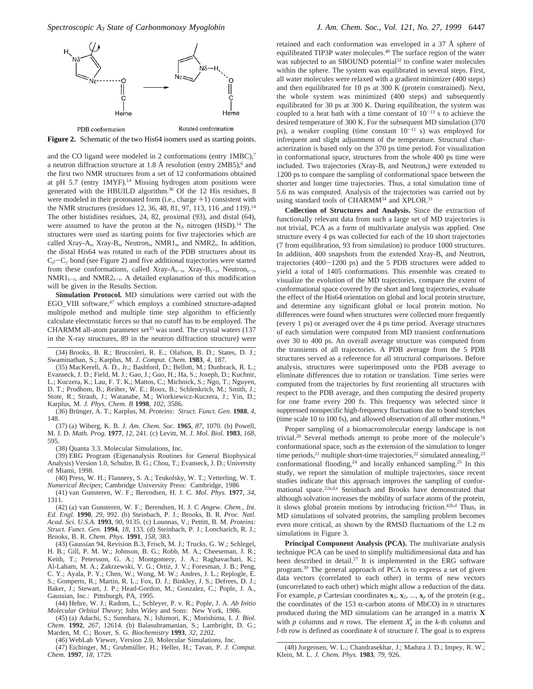

**Figure 2.** Schematic of the two His64 isomers used as starting points.

and the CO ligand were modeled in 2 conformations (entry 1MBC),<sup>7</sup> a neutron diffraction structure at 1.8 Å resolution (entry  $2MB5$ ),<sup>6</sup> and the first two NMR structures from a set of 12 conformations obtained at pH 5.7 (entry 1MYF).<sup>14</sup> Missing hydrogen atom positions were generated with the HBUILD algorithm.36 Of the 12 His residues, 8 were modeled in their protonated form (i.e., charge  $+1$ ) consistent with the NMR structures (residues 12, 36, 48, 81, 97, 113, 116 ,and 119).14 The other histidines residues, 24, 82, proximal (93), and distal (64), were assumed to have the proton at the  $N<sub>δ</sub>$  nitrogen (HSD).<sup>14</sup> The structures were used as starting points for five trajectories which are called Xray-A<sub>s</sub>, Xray-B<sub>s</sub>, Neutron<sub>s</sub>, NMR1<sub>s</sub>, and NMR2<sub>s</sub>. In addition, the distal His64 was rotated in each of the PDB structures about its <sup>C</sup>*<sup>â</sup>*-C*<sup>γ</sup>* bond (see Figure 2) and five additional trajectories were started from these conformations, called Xray-A<sub>s-r</sub>, Xray-B<sub>s-r</sub>, Neutron<sub>s-r</sub>,  $NMR1_{s-r}$ , and  $NMR2_{s-r}$ . A detailed explanation of this modification will be given in the Results Section.

**Simulation Protocol.** MD simulations were carried out with the EGO\_VIII software,<sup>47</sup> which employs a combined structure-adapted multipole method and multiple time step algorithm to efficiently calculate electrostatic forces so that no cutoff has to be employed. The CHARMM all-atom parameter set<sup>35</sup> was used. The crystal waters  $(137)$ in the X-ray structures, 89 in the neutron diffraction structure) were

(34) Brooks, B. R.; Bruccoleri, R. E.; Olafson, B. D.; States, D. J.; Swaminathan, S.; Karplus, M. *J. Comput. Chem.* **1983**, *4*, 187.

(35) MacKerell, A. D., Jr.; Bashford, D.; Bellott, M.; Dunbrack, R. L.; Evanseck, J. D.; Field, M. J.; Gao, J.; Guo, H.; Ha, S.; Joseph, D.; Kuchnir, L.; Kuczera, K.; Lau, F. T. K.; Mattos, C.; Michnick, S.; Ngo, T.; Nguyen, D. T.; Prodhom, B.; Reiher, W. E.; Roux, B.; Schlenkrich, M.; Smith, J.; Stote, R.; Straub, J.; Watanabe, M.; Wiorkiewicz-Kuczera, J.; Yin, D.; Karplus, M. *J. Phys. Chem. B* **1998**, *102*, 3586.

(36) Bru¨nger, A. T.; Karplus, M. *Proteins: Struct. Funct. Gen.* **1988**, *4*, 148.

(37) (a) Wiberg, K. B. *J. Am. Chem. Soc*. **1965**, *87*, 1070. (b) Powell, M. J. D. *Math. Prog.* **1977**, *12*, 241. (c) Levitt, M. *J. Mol. Biol.* **1983**, *168*, 595.

(38) Quanta 3.3. Molecular Simulations, Inc.

(39) ERG Program (Eigenanalysis Routines for General Biophysical Analysis) Version 1.0, Schulze, B. G.; Chou, T.; Evanseck, J. D.; University of Miami, 1998.

(40) Press, W. H.; Flannery, S. A.; Teukolsky, W. T.; Vetterling, W. T. *Numerical Recipes*; Cambridge University Press: Cambridge, 1986

(41) van Gunsteren, W. F.; Berendsen, H. J. C. *Mol. Phys.* **1977**, *34*, 1311.

(42) (a) van Gunsteren, W. F.; Berendsen, H. J. C *Angew. Chem., Int. Ed. Engl.* **1990**, *29*, 992. (b) Steinbach, P. J.; Brooks, B. R. *Proc. Natl. Acad. Sci. U.S.A.* **1993**, *90*, 9135. (c) Lounnas, V.; Pettitt, B. M. *Proteins: Struct. Funct. Gen.* **1994**, *18*, 133. (d) Steinbach, P. J.; Loncharich, R. J.; Brooks, B. R. *Chem. Phys.* **1991**, *158*, 383.

(43) Gaussian 94, Revision B.3, Frisch, M. J.; Trucks, G. W.; Schlegel, H. B.; Gill, P. M. W.; Johnson, B. G.; Robb, M. A.; Cheeseman, J. R.; Keith, T.; Petersson, G. A.; Montgomery, J. A.; Raghavachari, K.; Al-Laham, M. A.; Zakrzewski, V. G.; Ortiz, J. V.; Foresman, J. B.; Peng, C. Y.; Ayala, P. Y.; Chen, W.; Wong, M. W.; Andres, J. L.; Replogle, E. S.; Gomperts, R.; Martin, R. L.; Fox, D. J.; Binkley, J. S.; Defrees, D. J.; Baker, J.; Stewart, J. P.; Head-Gordon, M.; Gonzalez, C.; Pople, J. A., Gaussian, Inc.: Pittsburgh, PA, 1995.

(44) Hehre, W. J.; Radom, L.; Schleyer, P. v. R.; Pople, J. A. *Ab Initio Molecular Orbital Theory*; John Wiley and Sons: New York, 1986.

(45) (a) Adachi, S.; Sunohara, N.; Ishimori, K.; Morishima, I. *J. Biol. Chem.* **1992**, *267*, 12614. (b) Balasubramanian, S.; Lambright, D. G.; Marden, M. C.; Boxer, S. G. *Biochemistry* **1993**, *32*, 2202.

(46) WebLab Viewer, Version 2.0, Molecular Simulations, Inc.

(47) Eichinger, M.; Grubmüller, H.; Heller, H.; Tavan, P. *J. Comput. Chem.* **1997**, *18*, 1729.

retained and each conformation was enveloped in a 37 Å sphere of equilibrated TIP3P water molecules.48 The surface region of the water was subjected to an SBOUND potential<sup>32</sup> to confine water molecules within the sphere. The system was equilibrated in several steps. First, all water molecules were relaxed with a gradient minimizer (400 steps) and then equilibrated for 10 ps at 300 K (protein constrained). Next, the whole system was minimized (400 steps) and subsequently equilibrated for 30 ps at 300 K. During equilibration, the system was coupled to a heat bath with a time constant of  $10^{-13}$  s to achieve the desired temperature of 300 K. For the subsequent MD simulation (370 ps), a weaker coupling (time constant  $10^{-11}$  s) was employed for infrequent and slight adjustment of the temperature. Structural characterization is based only on the 370 ps time period. For visualization in conformational space, structures from the whole 400 ps time were included. Two trajectories (Xray-Bs and Neutrons) were extended to 1200 ps to compare the sampling of conformational space between the shorter and longer time trajectories. Thus, a total simulation time of 5.6 ns was computed. Analysis of the trajectories was carried out by using standard tools of CHARMM<sup>34</sup> and XPLOR.<sup>31</sup>

**Collection of Structures and Analysis.** Since the extraction of functionally relevant data from such a large set of MD trajectories is not trivial, PCA as a form of multivariate analysis was applied. One structure every 4 ps was collected for each of the 10 short trajectories (7 from equilibration, 93 from simulation) to produce 1000 structures. In addition, 400 snapshots from the extended Xray-B<sub>s</sub> and Neutron<sub>s</sub> trajectories (400-1200 ps) and the 5 PDB structures were added to yield a total of 1405 conformations. This ensemble was created to visualize the evolution of the MD trajectories, compare the extent of conformational space covered by the short and long trajectories, evaluate the effect of the His64 orientation on global and local protein structure, and determine any significant global or local protein motion. No differences were found when structures were collected more frequently (every 1 ps) or averaged over the 4 ps time period. Average structures of each simulation were computed from MD transient conformations over 30 to 400 ps. An overall average structure was computed from the transients of all trajectories. A PDB average from the 5 PDB structures served as a reference for all structural comparisons. Before analysis, structures were superimposed onto the PDB average to eliminate differences due to rotation or translation. Time series were computed from the trajectories by first reorienting all structures with respect to the PDB average, and then computing the desired property for one frame every 200 fs. This frequency was selected since it suppressed nonspecific high-frequency fluctuations due to bond stretches (time scale 10 to 100 fs), and allowed observation of all other motions.18

Proper sampling of a biomacromolecular energy landscape is not trivial.20 Several methods attempt to probe more of the molecule's conformational space, such as the extension of the simulation to longer time periods,<sup>21</sup> multiple short-time trajectories,<sup>22</sup> simulated annealing,<sup>23</sup> conformational flooding,<sup>24</sup> and locally enhanced sampling.<sup>25</sup> In this study, we report the simulation of multiple trajectories, since recent studies indicate that this approach improves the sampling of conformational space.22a,d,e Steinbach and Brooks have demonstrated that although solvation increases the mobility of surface atoms of the protein, it slows global protein motions by introducing friction.42b,d Thus, in MD simulations of solvated proteins, the sampling problem becomes even more critical, as shown by the RMSD fluctuations of the 1.2 ns simulations in Figure 3.

**Principal Component Analysis (PCA).** The multivariate analysis technique PCA can be used to simplify multidimensional data and has been described in detail.<sup>27</sup> It is implemented in the ERG software program.39 The general approach of PCA is to express a set of given data vectors (correlated to each other) in terms of new vectors (uncorrelated to each other) which might allow a reduction of the data. For example,  $p$  Cartesian coordinates  $\mathbf{x}_1, \mathbf{x}_2, \ldots, \mathbf{x}_p$  of the protein (e.g., the coordinates of the 153  $\alpha$ -carbon atoms of MbCO) in *n* structures produced during the MD simulations can be arranged in a matrix **X** with *p* columns and *n* rows. The element  $X_k^l$  in the *k*-th column and *l*-th row is defined as coordinate *k* of structure *l*. The goal is to express

<sup>(48)</sup> Jorgensen, W. L.; Chandrasekhar, J.; Madura J. D.; Impey, R. W.; Klein, M. L. *J. Chem. Phys.* **1983**, *79*, 926.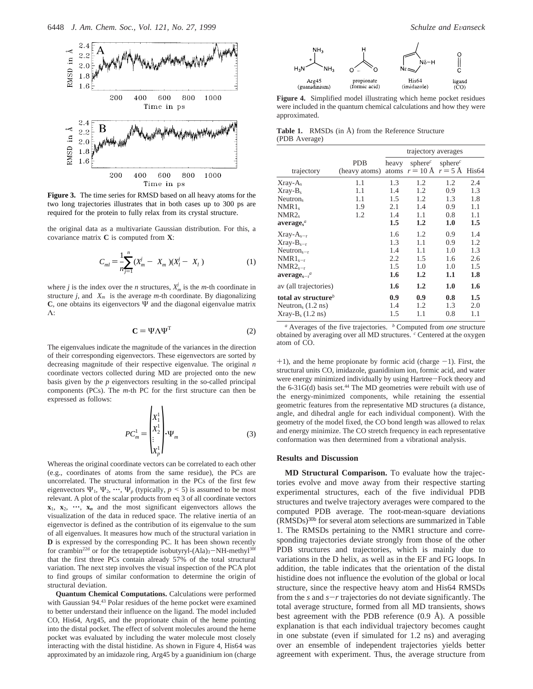

**Figure 3.** The time series for RMSD based on all heavy atoms for the two long trajectories illustrates that in both cases up to 300 ps are required for the protein to fully relax from its crystal structure.

the original data as a multivariate Gaussian distribution. For this, a covariance matrix **C** is computed from **X**:

$$
C_{ml} = \frac{1}{n} \sum_{j=1}^{n} (X_m^j - \langle X_m \rangle)(X_l^j - \langle X_l \rangle)
$$
 (1)

where *j* is the index over the *n* structures,  $X_m^j$  is the *m*-th coordinate in structure *j*, and  $\langle X_m \rangle$  is the average *m*-th coordinate. By diagonalizing  $C$ , one obtains its eigenvectors  $\Psi$  and the diagonal eigenvalue matrix Λ:

$$
\mathbf{C} = \Psi \Lambda \Psi^{\mathrm{T}} \tag{2}
$$

The eigenvalues indicate the magnitude of the variances in the direction of their corresponding eigenvectors. These eigenvectors are sorted by decreasing magnitude of their respective eigenvalue. The original *n* coordinate vectors collected during MD are projected onto the new basis given by the *p* eigenvectors resulting in the so-called principal components (PCs). The *m*-th PC for the first structure can then be expressed as follows:

$$
PC_m^1 = \begin{pmatrix} X_1^1 \\ X_2^1 \\ \vdots \\ X_p^1 \end{pmatrix} \cdot \Psi_m
$$
 (3)

Whereas the original coordinate vectors can be correlated to each other (e.g., coordinates of atoms from the same residue), the PCs are uncorrelated. The structural information in the PCs of the first few eigenvectors  $\Psi_1$ ,  $\Psi_2$ ,  $\cdots$ ,  $\Psi_p$  (typically,  $p \le 5$ ) is assumed to be most relevant. A plot of the scalar products from eq 3 of all coordinate vectors  $\mathbf{x}_1, \mathbf{x}_2, \cdots, \mathbf{x}_n$  and the most significant eigenvectors allows the visualization of the data in reduced space. The relative inertia of an eigenvector is defined as the contribution of its eigenvalue to the sum of all eigenvalues. It measures how much of the structural variation in **D** is expressed by the corresponding PC. It has been shown recently for crambin<sup>22d</sup> or for the tetrapeptide isobutyryl- $(Ala)<sub>3</sub>–NH-methyl<sup>30f</sup>$ that the first three PCs contain already 57% of the total structural variation. The next step involves the visual inspection of the PCA plot to find groups of similar conformation to determine the origin of structural deviation.

**Quantum Chemical Computations.** Calculations were performed with Gaussian 94.43 Polar residues of the heme pocket were examined to better understand their influence on the ligand. The model included CO, His64, Arg45, and the proprionate chain of the heme pointing into the distal pocket. The effect of solvent molecules around the heme pocket was evaluated by including the water molecule most closely interacting with the distal histidine. As shown in Figure 4, His64 was approximated by an imidazole ring, Arg45 by a guanidinium ion (charge



**Figure 4.** Simplified model illustrating which heme pocket residues were included in the quantum chemical calculations and how they were approximated.

**Table 1.** RMSDs (in Å) from the Reference Structure (PDB Average)

|                                         |               | trajectory averages |                                                                                      |            |         |
|-----------------------------------------|---------------|---------------------|--------------------------------------------------------------------------------------|------------|---------|
|                                         | <b>PDB</b>    | heavy               | sphere <sup><math>c</math></sup><br>atoms $r = 10 \text{ Å}$ $r = 5 \text{ Å}$ His64 | sphere $c$ |         |
| trajectory                              | (heavy atoms) |                     |                                                                                      |            |         |
| $Xray-As$                               | 1.1           | 1.3                 | 1.2                                                                                  | 1.2        | 2.4     |
| $Xray-Bs$                               | 1.1           | 1.4                 | 1.2                                                                                  | 0.9        | 1.3     |
| Neutron <sub>s</sub>                    | 1.1           | 1.5                 | 1.2                                                                                  | 1.3        | 1.8     |
| NMR1                                    | 1.9           | 2.1                 | 1.4                                                                                  | 0.9        | 1.1     |
| NMR2                                    | 1.2           | 1.4                 | 1.1                                                                                  | 0.8        | 1.1     |
| average <sub>s</sub>                    |               | 1.5                 | 1.2                                                                                  | 1.0        | $1.5\,$ |
| $Xray-As-r$                             |               | 1.6                 | 1.2                                                                                  | 0.9        | 1.4     |
| $Xray-Bs-r$                             |               | 1.3                 | 1.1                                                                                  | 0.9        | 1.2     |
| $Neutrons-r$                            |               | 1.4                 | 1.1                                                                                  | 1.0        | 1.3     |
| $NMR1_{s-r}$                            |               | 2.2                 | 1.5                                                                                  | 1.6        | 2.6     |
| $NMR2s-r$                               |               | 1.5                 | 1.0                                                                                  | 1.0        | 1.5     |
| $average_{s-r}$                         |               | 1.6                 | 1.2                                                                                  | 1.1        | 1.8     |
| av (all trajectories)                   |               | 1.6                 | 1.2                                                                                  | 1.0        | 1.6     |
| total av structure $\mathbf{e}^b$       |               | 0.9                 | 0.9                                                                                  | 0.8        | $1.5\,$ |
| Neutron <sub>s</sub> $(1.2 \text{ ns})$ |               | 1.4                 | 1.2                                                                                  | 1.3        | 2.0     |
| $Xray-Bs$ (1.2 ns)                      |               | 1.5                 | 1.1                                                                                  | 0.8        | 1.1     |

*<sup>a</sup>* Averages of the five trajectories. *<sup>b</sup>* Computed from *one* structure obtained by averaging over all MD structures. *<sup>c</sup>* Centered at the oxygen atom of CO.

 $+1$ ), and the heme propionate by formic acid (charge  $-1$ ). First, the structural units CO, imidazole, guanidinium ion, formic acid, and water were energy minimized individually by using Hartree-Fock theory and the  $6-31G(d)$  basis set.<sup>44</sup> The MD geometries were rebuilt with use of the energy-minimized components, while retaining the essential geometric features from the representative MD structures (a distance, angle, and dihedral angle for each individual component). With the geometry of the model fixed, the CO bond length was allowed to relax and energy minimize. The CO stretch frequency in each representative conformation was then determined from a vibrational analysis.

## **Results and Discussion**

**MD Structural Comparison.** To evaluate how the trajectories evolve and move away from their respective starting experimental structures, each of the five individual PDB structures and twelve trajectory averages were compared to the computed PDB average. The root-mean-square deviations (RMSDs)30b for several atom selections are summarized in Table 1. The RMSDs pertaining to the NMR1 structure and corresponding trajectories deviate strongly from those of the other PDB structures and trajectories, which is mainly due to variations in the D helix, as well as in the EF and FG loops. In addition, the table indicates that the orientation of the distal histidine does not influence the evolution of the global or local structure, since the respective heavy atom and His64 RMSDs from the  $s$  and  $s-r$  trajectories do not deviate significantly. The total average structure, formed from all MD transients, shows best agreement with the PDB reference (0.9 Å). A possible explanation is that each individual trajectory becomes caught in one substate (even if simulated for 1.2 ns) and averaging over an ensemble of independent trajectories yields better agreement with experiment. Thus, the average structure from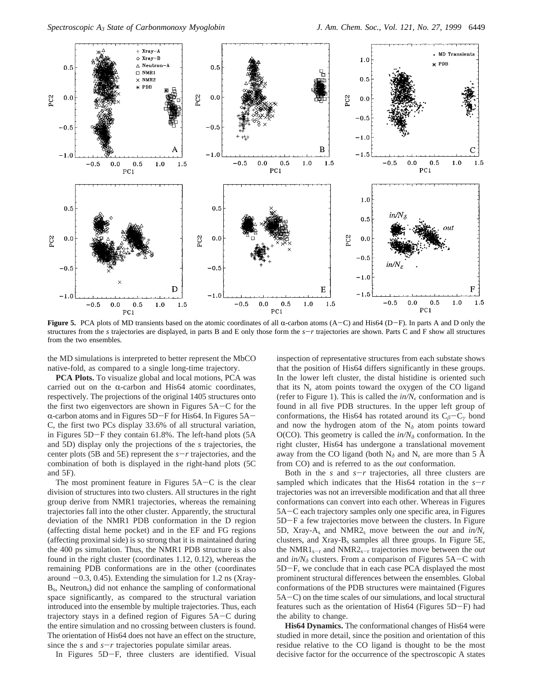

**Figure 5.** PCA plots of MD transients based on the atomic coordinates of all  $\alpha$ -carbon atoms  $(A-C)$  and His64  $(D-F)$ . In parts A and D only the structures from the *<sup>s</sup>* trajectories are displayed, in parts B and E only those form the *<sup>s</sup>*-*<sup>r</sup>* trajectories are shown. Parts C and F show all structures from the two ensembles.

the MD simulations is interpreted to better represent the MbCO native-fold, as compared to a single long-time trajectory.

**PCA Plots.** To visualize global and local motions, PCA was carried out on the  $\alpha$ -carbon and His64 atomic coordinates, respectively. The projections of the original 1405 structures onto the first two eigenvectors are shown in Figures 5A-C for the  $\alpha$ -carbon atoms and in Figures 5D-F for His64. In Figures 5A-C, the first two PCs display 33.6% of all structural variation, in Figures 5D-F they contain 61.8%. The left-hand plots (5A and 5D) display only the projections of the *s* trajectories, the center plots (5B and 5E) represent the  $s-r$  trajectories, and the combination of both is displayed in the right-hand plots (5C and 5F).

The most prominent feature in Figures  $5A-C$  is the clear division of structures into two clusters. All structures in the right group derive from NMR1 trajectories, whereas the remaining trajectories fall into the other cluster. Apparently, the structural deviation of the NMR1 PDB conformation in the D region (affecting distal heme pocket) and in the EF and FG regions (affecting proximal side) is so strong that it is maintained during the 400 ps simulation. Thus, the NMR1 PDB structure is also found in the right cluster (coordinates 1.12, 0.12), whereas the remaining PDB conformations are in the other (coordinates around  $-0.3$ , 0.45). Extending the simulation for 1.2 ns (Xray-Bs, Neutrons) did not enhance the sampling of conformational space significantly, as compared to the structural variation introduced into the ensemble by multiple trajectories. Thus, each trajectory stays in a defined region of Figures 5A-C during the entire simulation and no crossing between clusters is found. The orientation of His64 does not have an effect on the structure, since the  $s$  and  $s-r$  trajectories populate similar areas.

In Figures 5D-F, three clusters are identified. Visual

inspection of representative structures from each substate shows that the position of His64 differs significantly in these groups. In the lower left cluster, the distal histidine is oriented such that its  $N_{\epsilon}$  atom points toward the oxygen of the CO ligand (refer to Figure 1). This is called the  $in/N_{\epsilon}$  conformation and is found in all five PDB structures. In the upper left group of conformations, the His64 has rotated around its C*<sup>â</sup>*-C*<sup>γ</sup>* bond and now the hydrogen atom of the  $N<sub>δ</sub>$  atom points toward O(CO). This geometry is called the  $in/N<sub>δ</sub>$  conformation. In the right cluster, His64 has undergone a translational movement away from the CO ligand (both  $N_{\delta}$  and  $N_{\epsilon}$  are more than 5 Å from CO) and is referred to as the *out* conformation.

Both in the  $s$  and  $s-r$  trajectories, all three clusters are sampled which indicates that the His64 rotation in the  $s-r$ trajectories was not an irreversible modification and that all three conformations can convert into each other. Whereas in Figures 5A-C each trajectory samples only one specific area, in Figures 5D-F a few trajectories move between the clusters. In Figure 5D, Xray-A<sub>s</sub> and NMR2<sub>s</sub> move between the *out* and  $in/N<sub>\epsilon</sub>$ clusters, and Xray-Bs samples all three groups. In Figure 5E, the NMR1s-<sup>r</sup> and NMR2s-<sup>r</sup> trajectories move between the *out* and *in/N<sup>δ</sup>* clusters. From a comparison of Figures 5A-C with 5D-F, we conclude that in each case PCA displayed the most prominent structural differences between the ensembles. Global conformations of the PDB structures were maintained (Figures 5A-C) on the time scales of our simulations, and local structural features such as the orientation of His64 (Figures 5D-F) had the ability to change.

**His64 Dynamics.** The conformational changes of His64 were studied in more detail, since the position and orientation of this residue relative to the CO ligand is thought to be the most decisive factor for the occurrence of the spectroscopic A states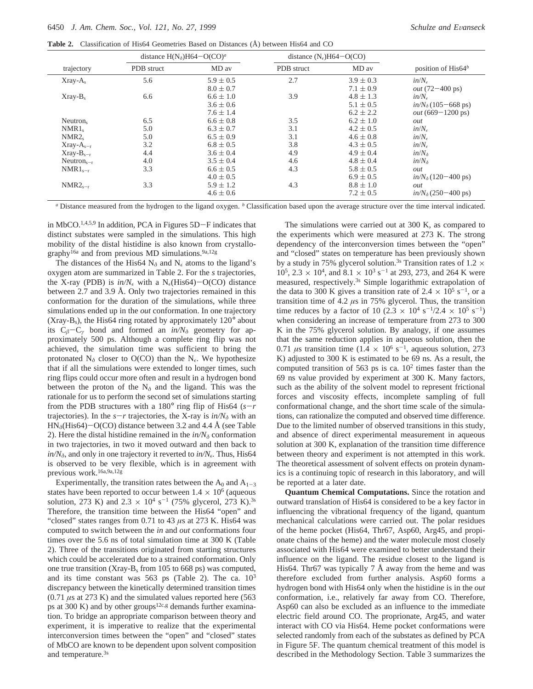**Table 2.** Classification of His64 Geometries Based on Distances (Å) between His64 and CO

|              |            | distance $H(N_{\delta})H64-O(CO)^{a}$ |            | distance $(N_e)H64-O(CO)$ |                                      |  |
|--------------|------------|---------------------------------------|------------|---------------------------|--------------------------------------|--|
| trajectory   | PDB struct | MD av                                 | PDB struct | MD av                     | position of $His64b$                 |  |
| $Xray-As$    | 5.6        | $5.9 \pm 0.5$                         | 2.7        | $3.9 \pm 0.3$             | $in/N_{\epsilon}$                    |  |
|              |            | $8.0 \pm 0.7$                         |            | $7.1 \pm 0.9$             | <i>out</i> $(72-400 \text{ ps})$     |  |
| $Xray-Bs$    | 6.6        | $6.6 \pm 1.0$                         | 3.9        | $4.8 \pm 1.3$             | $in/N_{\epsilon}$                    |  |
|              |            | $3.6 \pm 0.6$                         |            | $5.1 \pm 0.5$             | $in/N_{\delta}$ (105-668 ps)         |  |
|              |            | $7.6 \pm 1.4$                         |            | $6.2 \pm 2.2$             | <i>out</i> $(669 - 1200 \text{ ps})$ |  |
| Neutron.     | 6.5        | $6.6 \pm 0.8$                         | 3.5        | $6.2 \pm 1.0$             | out                                  |  |
| NMR1         | 5.0        | $6.3 \pm 0.7$                         | 3.1        | $4.2 \pm 0.5$             | $in/N_{\epsilon}$                    |  |
| NMR2         | 5.0        | $6.5 \pm 0.9$                         | 3.1        | $4.6 \pm 0.8$             | $in/N_{\epsilon}$                    |  |
| $Xray-As-r$  | 3.2        | $6.8 \pm 0.5$                         | 3.8        | $4.3 \pm 0.5$             | $in/N_{\epsilon}$                    |  |
| $Xray-Bs-r$  | 4.4        | $3.6 \pm 0.4$                         | 4.9        | $4.9 \pm 0.4$             | $in/N_{\delta}$                      |  |
| $Neutrons-r$ | 4.0        | $3.5 \pm 0.4$                         | 4.6        | $4.8 \pm 0.4$             | $in/N_{\delta}$                      |  |
| $NMR1_{s-r}$ | 3.3        | $6.6 \pm 0.5$                         | 4.3        | $5.8 \pm 0.5$             | out                                  |  |
|              |            | $4.0 \pm 0.5$                         |            | $6.9 \pm 0.5$             | $in/N_{\delta}(120-400 \text{ ps})$  |  |
| $NMR2_{s-r}$ | 3.3        | $5.9 \pm 1.2$                         | 4.3        | $8.8 \pm 1.0$             | out                                  |  |
|              |            | $4.6 \pm 0.6$                         |            | $7.2 \pm 0.5$             | $in/N_{\delta}$ (250–400 ps)         |  |

*<sup>a</sup>* Distance measured from the hydrogen to the ligand oxygen. *<sup>b</sup>* Classification based upon the average structure over the time interval indicated.

in MbCO.1,4,5,9 In addition, PCA in Figures 5D-F indicates that distinct substates were sampled in the simulations. This high mobility of the distal histidine is also known from crystallography16a and from previous MD simulations.9a,12g

The distances of the His64  $N_\delta$  and  $N_\epsilon$  atoms to the ligand's oxygen atom are summarized in Table 2. For the *s* trajectories, the X-ray (PDB) is  $in/N_e$  with a N<sub>e</sub>(His64)-O(CO) distance between 2.7 and 3.9 Å. Only two trajectories remained in this conformation for the duration of the simulations, while three simulations ended up in the *out* conformation. In one trajectory (Xray-B<sub>s</sub>), the His64 ring rotated by approximately  $120^\circ$  about its C*<sup>â</sup>*-C*<sup>γ</sup>* bond and formed an *in/N<sup>δ</sup>* geometry for approximately 500 ps. Although a complete ring flip was not achieved, the simulation time was sufficient to bring the protonated  $N_{\delta}$  closer to O(CO) than the  $N_{\epsilon}$ . We hypothesize that if all the simulations were extended to longer times, such ring flips could occur more often and result in a hydrogen bond between the proton of the  $N_{\delta}$  and the ligand. This was the rationale for us to perform the second set of simulations starting from the PDB structures with a 180 $\degree$  ring flip of His64 ( $s-r$ ) trajectories). In the  $s-r$  trajectories, the X-ray is  $in/N<sub>δ</sub>$  with an  $HN_{\delta}$ (His64)-O(CO) distance between 3.2 and 4.4 Å (see Table 2). Here the distal histidine remained in the  $in/N<sub>δ</sub>$  conformation in two trajectories, in two it moved outward and then back to *in/Nδ*, and only in one trajectory it reverted to *in/N.* Thus, His64 is observed to be very flexible, which is in agreement with previous work.<sup>16a,9a,12g</sup>

Experimentally, the transition rates between the  $A_0$  and  $A_{1-3}$ states have been reported to occur between  $1.4 \times 10^6$  (aqueous solution, 273 K) and 2.3  $\times$  10<sup>4</sup> s<sup>-1</sup> (75% glycerol, 273 K).<sup>3s</sup> Therefore, the transition time between the His64 "open" and "closed" states ranges from 0.71 to 43 *µ*s at 273 K. His64 was computed to switch between the *in* and *out* conformations four times over the 5.6 ns of total simulation time at 300 K (Table 2). Three of the transitions originated from starting structures which could be accelerated due to a strained conformation. Only one true transition (Xray- $B_s$  from 105 to 668 ps) was computed, and its time constant was  $563$  ps (Table 2). The ca.  $10^3$ discrepancy between the kinetically determined transition times (0.71 *µ*s at 273 K) and the simulated values reported here (563 ps at 300 K) and by other groups<sup>12c,g</sup> demands further examination. To bridge an appropriate comparison between theory and experiment, it is imperative to realize that the experimental interconversion times between the "open" and "closed" states of MbCO are known to be dependent upon solvent composition and temperature.<sup>3s</sup>

The simulations were carried out at 300 K, as compared to the experiments which were measured at 273 K. The strong dependency of the interconversion times between the "open" and "closed" states on temperature has been previously shown by a study in 75% glycerol solution.<sup>3s</sup> Transition rates of 1.2  $\times$  $10^5$ ,  $2.3 \times 10^4$ , and  $8.1 \times 10^3$  s<sup>-1</sup> at 293, 273, and 264 K were measured, respectively.3s Simple logarithmic extrapolation of the data to 300 K gives a transition rate of  $2.4 \times 10^5$  s<sup>-1</sup>, or a transition time of 4.2 *µ*s in 75% glycerol. Thus, the transition time reduces by a factor of 10 (2.3  $\times$  10<sup>4</sup> s<sup>-1</sup>/2.4  $\times$  10<sup>5</sup> s<sup>-1</sup>) when considering an increase of temperature from 273 to 300 K in the 75% glycerol solution. By analogy, if one assumes that the same reduction applies in aqueous solution, then the 0.71  $\mu$ s transition time (1.4 × 10<sup>6</sup> s<sup>-1</sup>, aqueous solution, 273 K) adjusted to 300 K is estimated to be 69 ns. As a result, the computed transition of 563 ps is ca.  $10<sup>2</sup>$  times faster than the 69 ns value provided by experiment at 300 K. Many factors, such as the ability of the solvent model to represent frictional forces and viscosity effects, incomplete sampling of full conformational change, and the short time scale of the simulations, can rationalize the computed and observed time difference. Due to the limited number of observed transitions in this study, and absence of direct experimental measurement in aqueous solution at 300 K, explanation of the transition time difference between theory and experiment is not attempted in this work. The theoretical assessment of solvent effects on protein dynamics is a continuing topic of research in this laboratory, and will be reported at a later date.

**Quantum Chemical Computations.** Since the rotation and outward translation of His64 is considered to be a key factor in influencing the vibrational frequency of the ligand, quantum mechanical calculations were carried out. The polar residues of the heme pocket (His64, Thr67, Asp60, Arg45, and propionate chains of the heme) and the water molecule most closely associated with His64 were examined to better understand their influence on the ligand. The residue closest to the ligand is His64. Thr67 was typically 7 Å away from the heme and was therefore excluded from further analysis. Asp60 forms a hydrogen bond with His64 only when the histidine is in the *out* conformation, i.e., relatively far away from CO. Therefore, Asp60 can also be excluded as an influence to the immediate electric field around CO. The proprionate, Arg45, and water interact with CO via His64. Heme pocket conformations were selected randomly from each of the substates as defined by PCA in Figure 5F. The quantum chemical treatment of this model is described in the Methodology Section. Table 3 summarizes the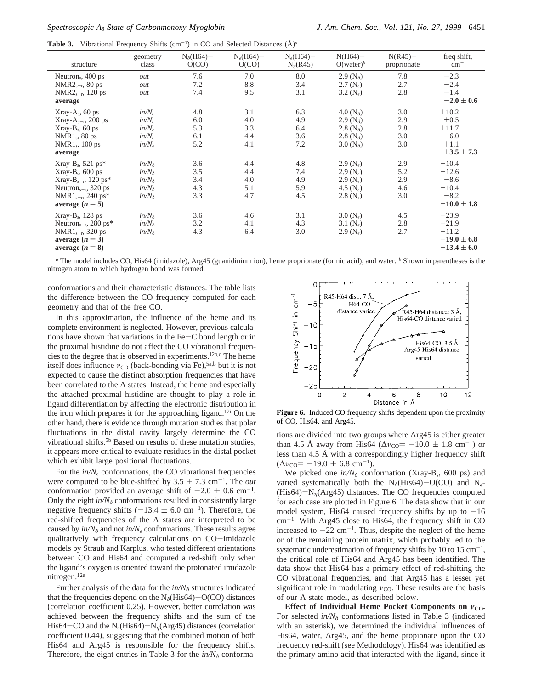Table 3. Vibrational Frequency Shifts (cm<sup>-1</sup>) in CO and Selected Distances ( $\AA$ )<sup>*a*</sup>

| structure                                                                                                                                                               | geometry<br>class                                                                                     | $N_{\delta}$ (H64)–<br>O(CO)    | $N_e(H64)$ –<br>O(CO)           | $N_e(H64)$ –<br>$N_n(R45)$      | $N(H64)$ -<br>$O(water)^b$                                                                                 | $N(R45)$ -<br>proprionate       | freq shift,<br>$cm^{-1}$                                             |
|-------------------------------------------------------------------------------------------------------------------------------------------------------------------------|-------------------------------------------------------------------------------------------------------|---------------------------------|---------------------------------|---------------------------------|------------------------------------------------------------------------------------------------------------|---------------------------------|----------------------------------------------------------------------|
| Neutron <sub>s</sub> , 400 ps<br>$NMR2_{s-r}$ , 80 ps<br>NMR2 <sub>s-r</sub> , 120 ps<br>average                                                                        | out<br>out<br>out                                                                                     | 7.6<br>7.2<br>7.4               | 7.0<br>8.8<br>9.5               | 8.0<br>3.4<br>3.1               | 2.9 $(N_{\delta})$<br>2.7 $(N_e)$<br>3.2 $(N_e)$                                                           | 7.8<br>2.7<br>2.8               | $-2.3$<br>$-2.4$<br>$-1.4$<br>$-2.0 \pm 0.6$                         |
| $Xray-As$ , 60 ps<br>Xray- $A_{s-r}$ , 200 ps<br>$Xray-Bs$ , 60 ps<br>$NMR1_s$ , 80 ps<br>$NMR1_s$ , 100 ps<br>average                                                  | $in/N_{\epsilon}$<br>$in/N_{\epsilon}$<br>$in/N_{\epsilon}$<br>$in/N_{\epsilon}$<br>$in/N_{\epsilon}$ | 4.8<br>6.0<br>5.3<br>6.1<br>5.2 | 3.1<br>4.0<br>3.3<br>4.4<br>4.1 | 6.3<br>4.9<br>6.4<br>3.6<br>7.2 | 4.0 $(N_{\delta})$<br>2.9 $(N_{\delta})$<br>2.8 $(N_{\delta})$<br>2.8 $(N_{\delta})$<br>3.0 $(N_{\delta})$ | 3.0<br>2.9<br>2.8<br>3.0<br>3.0 | $+10.2$<br>$+0.5$<br>$+11.7$<br>$-6.0$<br>$+1.1$<br>$+3.5 \pm 7.3$   |
| Xray- $B_s$ , 521 ps*<br>$Xray-Bs$ , 600 ps<br>Xray-B <sub>s-r</sub> , 120 ps*<br>Neutron <sub>s-r</sub> , 320 ps<br>NMR1 <sub>s-r</sub> , 240 ps*<br>average $(n = 5)$ | $in/N_{\delta}$<br>$in/N_{\delta}$<br>$in/N_{\delta}$<br>$in/N_{\delta}$<br>$in/N_{\delta}$           | 3.6<br>3.5<br>3.4<br>4.3<br>3.3 | 4.4<br>4.4<br>4.0<br>5.1<br>4.7 | 4.8<br>7.4<br>4.9<br>5.9<br>4.5 | $2.9(N_e)$<br>$2.9(N_e)$<br>2.9 $(N_e)$<br>4.5 $(N_e)$<br>2.8 $(N_e)$                                      | 2.9<br>5.2<br>2.9<br>4.6<br>3.0 | $-10.4$<br>$-12.6$<br>$-8.6$<br>$-10.4$<br>$-8.2$<br>$-10.0 \pm 1.8$ |
| $Xray-Bs$ , 128 ps<br>Neutron <sub>s-r</sub> , 280 ps*<br>NMR $1_{s-r}$ , 320 ps<br>average $(n=3)$<br>average $(n = 8)$                                                | $in/N_{\delta}$<br>$in/N_{\delta}$<br>$in/N_{\delta}$                                                 | 3.6<br>3.2<br>4.3               | 4.6<br>4.1<br>6.4               | 3.1<br>4.3<br>3.0               | 3.0 $(N_e)$<br>3.1 $(N_e)$<br>2.9 $(N_e)$                                                                  | 4.5<br>2.8<br>2.7               | $-23.9$<br>$-21.9$<br>$-11.2$<br>$-19.0 \pm 6.8$<br>$-13.4 \pm 6.0$  |

*<sup>a</sup>* The model includes CO, His64 (imidazole), Arg45 (guanidinium ion), heme proprionate (formic acid), and water. *<sup>b</sup>* Shown in parentheses is the nitrogen atom to which hydrogen bond was formed.

conformations and their characteristic distances. The table lists the difference between the CO frequency computed for each geometry and that of the free CO.

In this approximation, the influence of the heme and its complete environment is neglected. However, previous calculations have shown that variations in the  $Fe-C$  bond length or in the proximal histidine do not affect the CO vibrational frequencies to the degree that is observed in experiments.12b,d The heme itself does influence  $v_{\text{CO}}$  (back-bonding via Fe),<sup>5a,b</sup> but it is not expected to cause the distinct absorption frequencies that have been correlated to the A states. Instead, the heme and especially the attached proximal histidine are thought to play a role in ligand differentiation by affecting the electronic distribution in the iron which prepares it for the approaching ligand.<sup>12i</sup> On the other hand, there is evidence through mutation studies that polar fluctuations in the distal cavity largely determine the CO vibrational shifts.5b Based on results of these mutation studies, it appears more critical to evaluate residues in the distal pocket which exhibit large positional fluctuations.

For the  $in/N_{\epsilon}$  conformations, the CO vibrational frequencies were computed to be blue-shifted by  $3.5 \pm 7.3$  cm<sup>-1</sup>. The *out* conformation provided an average shift of  $-2.0 \pm 0.6$  cm<sup>-1</sup>. Only the eight  $in/N<sub>δ</sub>$  conformations resulted in consistently large negative frequency shifts ( $-13.4 \pm 6.0 \text{ cm}^{-1}$ ). Therefore, the red-shifted frequencies of the A states are interpreted to be caused by  $in/N_{\delta}$  and not  $in/N_{\epsilon}$  conformations. These results agree qualitatively with frequency calculations on CO-imidazole models by Straub and Karplus, who tested different orientations between CO and His64 and computed a red-shift only when the ligand's oxygen is oriented toward the protonated imidazole nitrogen.12e

Further analysis of the data for the  $in/N<sub>δ</sub>$  structures indicated that the frequencies depend on the  $N<sub>δ</sub>(His64) - O(CO)$  distances (correlation coefficient 0.25). However, better correlation was achieved between the frequency shifts and the sum of the His64-CO and the  $N_e$ (His64)- $N_\eta$ (Arg45) distances (correlation coefficient 0.44), suggesting that the combined motion of both His64 and Arg45 is responsible for the frequency shifts. Therefore, the eight entries in Table 3 for the  $in/N<sub>δ</sub>$  conforma-



Figure 6. Induced CO frequency shifts dependent upon the proximity of CO, His64, and Arg45.

tions are divided into two groups where Arg45 is either greater than 4.5 Å away from His64 ( $\Delta v_{\text{CO}}$  = -10.0  $\pm$  1.8 cm<sup>-1</sup>) or less than 4.5 Å with a correspondingly higher frequency shift  $(\Delta v_{\rm CO} = -19.0 \pm 6.8 \text{ cm}^{-1}).$ 

We picked one  $in/N<sub>δ</sub>$  conformation (Xray-B<sub>s</sub>, 600 ps) and varied systematically both the  $N_{\delta}$ (His64)-O(CO) and N<sub> $\epsilon$ </sub>-(His64)-N*η*(Arg45) distances. The CO frequencies computed for each case are plotted in Figure 6. The data show that in our model system, His64 caused frequency shifts by up to  $-16$  $cm^{-1}$ . With Arg45 close to His64, the frequency shift in CO increased to  $-22$  cm<sup>-1</sup>. Thus, despite the neglect of the heme or of the remaining protein matrix, which probably led to the systematic underestimation of frequency shifts by 10 to 15  $cm^{-1}$ , the critical role of His64 and Arg45 has been identified. The data show that His64 has a primary effect of red-shifting the CO vibrational frequencies, and that Arg45 has a lesser yet significant role in modulating  $v_{\text{CO}}$ . These results are the basis of our A state model, as described below.

**Effect of Individual Heme Pocket Components on**  $ν_{\text{CO}}$ **.** For selected *in/N<sup>δ</sup>* conformations listed in Table 3 (indicated with an asterisk), we determined the individual influences of His64, water, Arg45, and the heme propionate upon the CO frequency red-shift (see Methodology). His64 was identified as the primary amino acid that interacted with the ligand, since it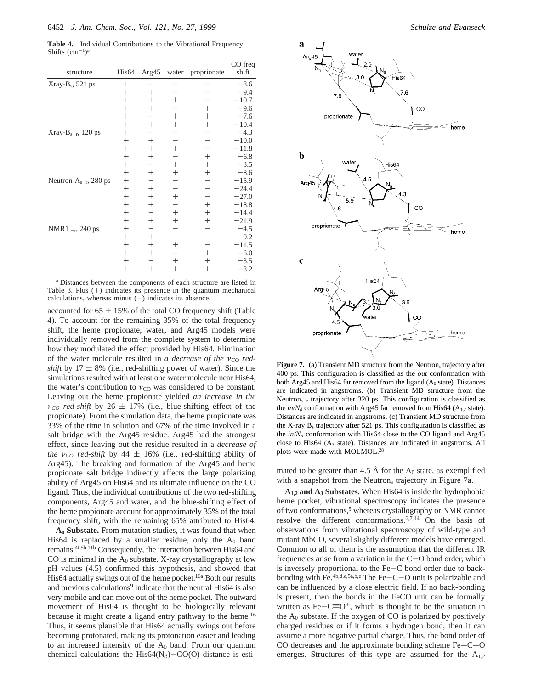**Table 4.** Individual Contributions to the Vibrational Frequency Shifts  $(cm<sup>-1</sup>)<sup>a</sup>$ 

| structure                   | His <sub>64</sub> | Arg45              | water              | proprionate | CO freq<br>shift |
|-----------------------------|-------------------|--------------------|--------------------|-------------|------------------|
| $Xray-Bs$ , 521 ps          | $^{+}$            |                    |                    |             | $-8.6$           |
|                             | $^{+}$            | $^{+}$             |                    |             | $-9.4$           |
|                             | $^{+}$            | $^{+}$             | $^{+}$             |             | $-10.7$          |
|                             | $^{+}$            | $+$                |                    | $^{+}$      | $-9.6$           |
|                             | $^{+}$            |                    | $^{+}$             | $^{+}$      | $-7.6$           |
|                             | $^{+}$            | $\hspace{0.1mm} +$ | $^{+}$             | $^{+}$      | $-10.4$          |
| Xray- $B_{s-r}$ , 120 ps    | $^{+}$            |                    |                    |             | $-4.3$           |
|                             | $^{+}$            | $^{+}$             |                    |             | $-10.0$          |
|                             | $^{+}$            | $^{+}$             | $^{+}$             |             | $-11.8$          |
|                             | $^{+}$            | $^{+}$             |                    | $^{+}$      | $-6.8$           |
|                             | $^{+}$            |                    | $^{+}$             | $^{+}$      | $-3.5$           |
|                             | $^{+}$            | $^{+}$             | $^{+}$             | $^{+}$      | $-8.6$           |
| Neutron- $A_{s-r}$ , 280 ps | $^{+}$            |                    |                    |             | $-15.9$          |
|                             | $^{+}$            | $^{+}$             |                    |             | $-24.4$          |
|                             | $^{+}$            | $^{+}$             | $\hspace{0.1mm} +$ |             | $-27.0$          |
|                             | $^{+}$            | $^{+}$             |                    | $^{+}$      | $-18.8$          |
|                             | $^{+}$            |                    | $^{+}$             | $^{+}$      | $-14.4$          |
|                             | $^{+}$            | $^{+}$             | $^{+}$             | $^{+}$      | $-21.9$          |
| $NMR1_{s-r}$ , 240 ps       | $^{+}$            |                    |                    |             | $-4.5$           |
|                             | $^{+}$            | $^{+}$             |                    |             | $-9.2$           |
|                             | $^{+}$            | $^{+}$             | $\hspace{0.1mm} +$ |             | $-11.5$          |
|                             | $^{+}$            | $^{+}$             |                    | $^+$        | $-6.0$           |
|                             | $^{+}$            |                    | $^{+}$             | $^{+}$      | $-3.5$           |
|                             | $^{+}$            | $^{+}$             | $\hspace{0.1mm} +$ | $^{+}$      | $-8.2$           |

*<sup>a</sup>* Distances between the components of each structure are listed in Table 3. Plus  $(+)$  indicates its presence in the quantum mechanical calculations, whereas minus  $(-)$  indicates its absence.

accounted for  $65 \pm 15\%$  of the total CO frequency shift (Table 4). To account for the remaining 35% of the total frequency shift, the heme propionate, water, and Arg45 models were individually removed from the complete system to determine how they modulated the effect provided by His64. Elimination of the water molecule resulted in *a decrease of the*  $v_{CO}$  *redshift* by  $17 \pm 8\%$  (i.e., red-shifting power of water). Since the simulations resulted with at least one water molecule near His64, the water's contribution to  $v_{\rm CO}$  was considered to be constant. Leaving out the heme propionate yielded *an increase in the*  $v_{CO}$  *red-shift* by 26  $\pm$  17% (i.e., blue-shifting effect of the propionate). From the simulation data, the heme propionate was 33% of the time in solution and 67% of the time involved in a salt bridge with the Arg45 residue. Arg45 had the strongest effect, since leaving out the residue resulted in a *decrease of the*  $v_{CO}$  *red-shift* by 44  $\pm$  16% (i.e., red-shifting ability of Arg45). The breaking and formation of the Arg45 and heme propionate salt bridge indirectly affects the large polarizing ability of Arg45 on His64 and its ultimate influence on the CO ligand. Thus, the individual contributions of the two red-shifting components, Arg45 and water, and the blue-shifting effect of the heme propionate account for approximately 35% of the total frequency shift, with the remaining 65% attributed to His64.

**A0 Substate.** From mutation studies, it was found that when His64 is replaced by a smaller residue, only the  $A_0$  band remains.4f,5b,11b Consequently, the interaction between His64 and CO is minimal in the  $A_0$  substate. X-ray crystallography at low pH values (4.5) confirmed this hypothesis, and showed that His64 actually swings out of the heme pocket.<sup>16a</sup> Both our results and previous calculations<sup>9</sup> indicate that the neutral His64 is also very mobile and can move out of the heme pocket. The outward movement of His64 is thought to be biologically relevant because it might create a ligand entry pathway to the heme.<sup>16</sup> Thus, it seems plausible that His64 actually swings out before becoming protonated, making its protonation easier and leading to an increased intensity of the  $A_0$  band. From our quantum chemical calculations the His64( $N_{\delta}$ ) $-CO(O)$  distance is esti-



**Figure 7.** (a) Transient MD structure from the Neutron<sub>s</sub> trajectory after 400 ps. This configuration is classified as the *out* conformation with both Arg45 and His64 far removed from the ligand  $(A<sub>0</sub> state)$ . Distances are indicated in angstroms. (b) Transient MD structure from the Neutron<sub>s-r</sub> trajectory after 320 ps. This configuration is classified as the *in/N*<sup> $\delta$ </sup> conformation with Arg45 far removed from His64 (A<sub>1,2</sub> state). Distances are indicated in angstroms. (c) Transient MD structure from the X-ray  $B_s$  trajectory after 521 ps. This configuration is classified as the  $in/N<sub>δ</sub>$  conformation with His64 close to the CO ligand and Arg45 close to His64 (A3 state). Distances are indicated in angstroms. All plots were made with MOLMOL.28

mated to be greater than 4.5 Å for the  $A_0$  state, as exemplified with a snapshot from the Neutron, trajectory in Figure 7a.

**A1,2 and A3 Substates.** When His64 is inside the hydrophobic heme pocket, vibrational spectroscopy indicates the presence of two conformations,<sup>5</sup> whereas crystallography or NMR cannot resolve the different conformations.<sup>6,7,14</sup> On the basis of observations from vibrational spectroscopy of wild-type and mutant MbCO, several slightly different models have emerged. Common to all of them is the assumption that the different IR frequencies arise from a variation in the C-O bond order, which is inversely proportional to the Fe-C bond order due to backbonding with Fe.<sup>4b,d,e,5a,b,e</sup> The Fe-C-O unit is polarizable and can be influenced by a close electric field. If no back-bonding is present, then the bonds in the FeCO unit can be formally written as  $Fe-C\equiv O^+$ , which is thought to be the situation in the  $A_0$  substate. If the oxygen of CO is polarized by positively charged residues or if it forms a hydrogen bond, then it can assume a more negative partial charge. Thus, the bond order of CO decreases and the approximate bonding scheme  $Fe=C=O$ emerges. Structures of this type are assumed for the  $A_{1,2}$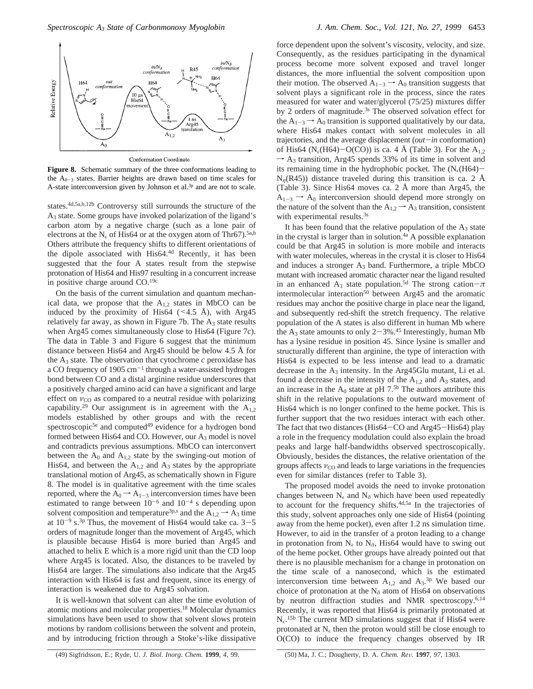

**Conformation Coordinate** 

**Figure 8.** Schematic summary of the three conformations leading to the  $A_{0-3}$  states. Barrier heights are drawn based on time scales for A-state interconversion given by Johnson et al.<sup>3p</sup> and are not to scale.

states.4d,5a,b,12b Controversy still surrounds the structure of the A3 state. Some groups have invoked polarization of the ligand's carbon atom by a negative charge (such as a lone pair of electrons at the N<sub> $\epsilon$ </sub> of His64 or at the oxygen atom of Thr67).<sup>5a,b</sup> Others attribute the frequency shifts to different orientations of the dipole associated with His64.4d Recently, it has been suggested that the four A states result from the stepwise protonation of His64 and His97 resulting in a concurrent increase in positive charge around CO.19c

On the basis of the current simulation and quantum mechanical data, we propose that the  $A_{1,2}$  states in MbCO can be induced by the proximity of His64 ( $\leq$ 4.5 Å), with Arg45 relatively far away, as shown in Figure 7b. The  $A_3$  state results when Arg45 comes simultaneously close to His64 (Figure 7c). The data in Table 3 and Figure 6 suggest that the minimum distance between His64 and Arg45 should be below 4.5 Å for the  $A_3$  state. The observation that cytochrome  $c$  peroxidase has a CO frequency of  $1905 \text{ cm}^{-1}$  through a water-assisted hydrogen bond between CO and a distal arginine residue underscores that a positively charged amino acid can have a significant and large effect on  $v_{\rm CO}$  as compared to a neutral residue with polarizing capability.<sup>29</sup> Our assignment is in agreement with the  $A_{1,2}$ models established by other groups and with the recent spectroscopic<sup>5e</sup> and computed<sup>49</sup> evidence for a hydrogen bond formed between His64 and CO. However, our  $A_3$  model is novel and contradicts previous assumptions. MbCO can interconvert between the  $A_0$  and  $A_{1,2}$  state by the swinging-out motion of His64, and between the  $A_{1,2}$  and  $A_3$  states by the appropriate translational motion of Arg45, as schematically shown in Figure 8. The model is in qualitative agreement with the time scales reported, where the  $A_0 \rightarrow A_{1-3}$  interconversion times have been estimated to range between  $10^{-6}$  and  $10^{-4}$  s depending upon solvent composition and temperature<sup>3p,s</sup> and the  $A_{1,2} \rightarrow A_3$  time at  $10^{-9}$  s.<sup>3p</sup> Thus, the movement of His64 would take ca.  $3-5$ orders of magnitude longer than the movement of Arg45, which is plausible because His64 is more buried than Arg45 and attached to helix E which is a more rigid unit than the CD loop where Arg45 is located. Also, the distances to be traveled by His64 are larger. The simulations also indicate that the Arg45 interaction with His64 is fast and frequent, since its energy of interaction is weakened due to Arg45 solvation.

It is well-known that solvent can alter the time evolution of atomic motions and molecular properties.18 Molecular dynamics simulations have been used to show that solvent slows protein motions by random collisions between the solvent and protein, and by introducing friction through a Stoke's-like dissipative

force dependent upon the solvent's viscosity, velocity, and size. Consequently, as the residues participating in the dynamical process become more solvent exposed and travel longer distances, the more influential the solvent composition upon their motion. The observed  $A_{1-3} \rightarrow A_0$  transition suggests that solvent plays a significant role in the process, since the rates measured for water and water/glycerol (75/25) mixtures differ by 2 orders of magnitude.<sup>3s</sup> The observed solvation effect for the  $A_{1-3} \rightarrow A_0$  transition is supported qualitatively by our data, where His64 makes contact with solvent molecules in all trajectories, and the average displacement (*out*-*in* conformation) of His64 (N<sub>e</sub>(H64)-O(CO)) is ca. 4 Å (Table 3). For the A<sub>1,2</sub>  $\rightarrow$  A<sub>3</sub> transition, Arg45 spends 33% of its time in solvent and its remaining time in the hydrophobic pocket. The  $(N_e(H64)$ - $N_n(R45)$ ) distance traveled during this transition is ca. 2 Å (Table 3). Since His64 moves ca. 2 Å more than Arg45, the  $A_{1-3} \rightarrow A_0$  interconversion should depend more strongly on the nature of the solvent than the  $A_{1,2} \rightarrow A_3$  transition, consistent with experimental results.<sup>3s</sup>

It has been found that the relative population of the  $A_3$  state in the crystal is larger than in solution.<sup> $4a$ </sup> A possible explanation could be that Arg45 in solution is more mobile and interacts with water molecules, whereas in the crystal it is closer to His64 and induces a stronger  $A_3$  band. Furthermore, a triple MbCO mutant with increased aromatic character near the ligand resulted in an enhanced A<sub>3</sub> state population.<sup>5d</sup> The strong cation- $\pi$ intermolecular interaction<sup>50</sup> between Arg45 and the aromatic residues may anchor the positive charge in place near the ligand, and subsequently red-shift the stretch frequency. The relative population of the A states is also different in human Mb where the  $A_3$  state amounts to only 2-3%.<sup>45</sup> Interestingly, human Mb has a lysine residue in position 45. Since lysine is smaller and structurally different than arginine, the type of interaction with His64 is expected to be less intense and lead to a dramatic decrease in the  $A_3$  intensity. In the Arg45Glu mutant, Li et al. found a decrease in the intensity of the  $A_{1,2}$  and  $A_3$  states, and an increase in the  $A_0$  state at pH 7.<sup>5b</sup> The authors attribute this shift in the relative populations to the outward movement of His64 which is no longer confined to the heme pocket. This is further support that the two residues interact with each other. The fact that two distances (His64-CO and Arg45-His64) play a role in the frequency modulation could also explain the broad peaks and large half-bandwidths observed spectroscopically. Obviously, besides the distances, the relative orientation of the groups affects  $v_{\rm CO}$  and leads to large variations in the frequencies even for similar distances (refer to Table 3).

The proposed model avoids the need to invoke protonation changes between  $N_{\epsilon}$  and  $N_{\delta}$  which have been used repeatedly to account for the frequency shifts.4d,5a In the trajectories of this study, solvent approaches only one side of His64 (pointing away from the heme pocket), even after 1.2 ns simulation time. However, to aid in the transfer of a proton leading to a change in protonation from  $N_{\epsilon}$  to  $N_{\delta}$ , His64 would have to swing out of the heme pocket. Other groups have already pointed out that there is no plausible mechanism for a change in protonation on the time scale of a nanosecond, which is the estimated interconversion time between  $A_{1,2}$  and  $A_{3}$ .<sup>3p</sup> We based our choice of protonation at the N*<sup>δ</sup>* atom of His64 on observations by neutron diffraction studies and NMR spectroscopy.<sup>6,14</sup> Recently, it was reported that His64 is primarily protonated at  $N_{\epsilon}$ .<sup>15b</sup> The current MD simulations suggest that if His64 were protonated at  $N_{\epsilon}$  then the proton would still be close enough to O(CO) to induce the frequency changes observed by IR